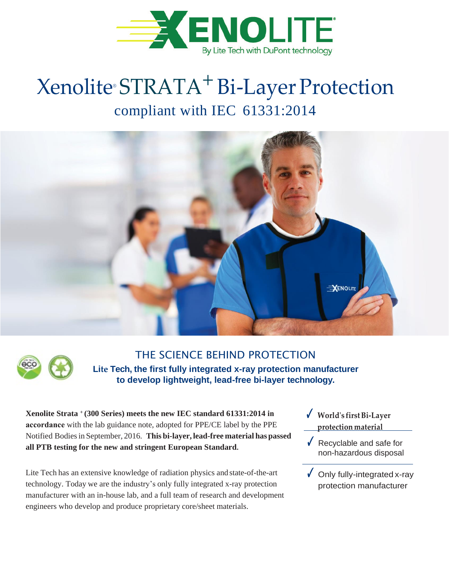

# Xenolite® STRATA+Bi-Layer Protection compliant with IEC 61331:2014





### THE SCIENCE BEHIND PROTECTION **Lite Tech, the first fully integrated x-ray protection manufacturer to develop lightweight, lead-free bi-layer technology.**

**Xenolite Strata <sup>+</sup> (300 Series) meets the new IEC standard 61331:2014 in accordance** with the lab guidance note, adopted for PPE/CE label by the PPE Notified Bodies in September, 2016. **This bi-layer, lead-free material has passed all PTB testing for the new and stringent European Standard.**

Lite Tech has an extensive knowledge of radiation physics and state-of-the-art technology. Today we are the industry's only fully integrated x-ray protection manufacturer with an in-house lab, and a full team of research and development engineers who develop and produce proprietary core/sheet materials.

- ✓ **World's firstBi-Layer protection material**
- ✓ Recyclable and safe for non-hazardous disposal
- $\sqrt{\phantom{a}}$  Only fully-integrated x-ray protection manufacturer